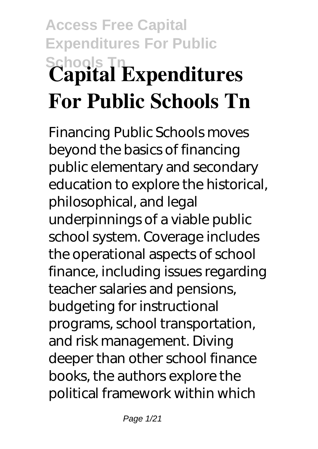# **Access Free Capital Expenditures For Public Schools Tn Capital Expenditures For Public Schools Tn**

Financing Public Schools moves beyond the basics of financing public elementary and secondary education to explore the historical, philosophical, and legal underpinnings of a viable public school system. Coverage includes the operational aspects of school finance, including issues regarding teacher salaries and pensions, budgeting for instructional programs, school transportation, and risk management. Diving deeper than other school finance books, the authors explore the political framework within which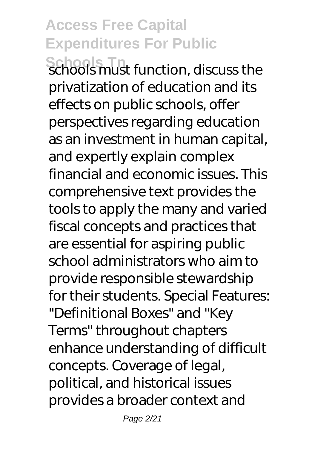**Schools Tn**<br>Schools must function, discuss the privatization of education and its effects on public schools, offer perspectives regarding education as an investment in human capital, and expertly explain complex financial and economic issues. This comprehensive text provides the tools to apply the many and varied fiscal concepts and practices that are essential for aspiring public school administrators who aim to provide responsible stewardship for their students. Special Features: "Definitional Boxes" and "Key Terms" throughout chapters enhance understanding of difficult concepts. Coverage of legal, political, and historical issues provides a broader context and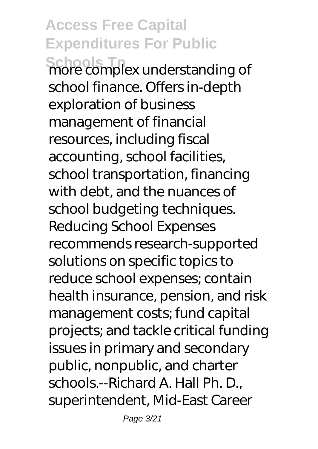Schools Thex understanding of school finance. Offers in-depth exploration of business management of financial resources, including fiscal accounting, school facilities, school transportation, financing with debt, and the nuances of school budgeting techniques. Reducing School Expenses recommends research-supported solutions on specific topics to reduce school expenses; contain health insurance, pension, and risk management costs; fund capital projects; and tackle critical funding issues in primary and secondary public, nonpublic, and charter schools.--Richard A. Hall Ph. D., superintendent, Mid-East Career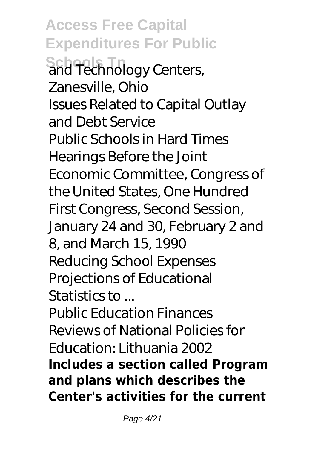**Access Free Capital Expenditures For Public Schools Tn**<br>and Technology Centers, Zanesville, Ohio Issues Related to Capital Outlay and Debt Service Public Schools in Hard Times Hearings Before the Joint Economic Committee, Congress of the United States, One Hundred First Congress, Second Session, January 24 and 30, February 2 and 8, and March 15, 1990 Reducing School Expenses Projections of Educational Statistics to ... Public Education Finances Reviews of National Policies for Education: Lithuania 2002 **Includes a section called Program and plans which describes the Center's activities for the current**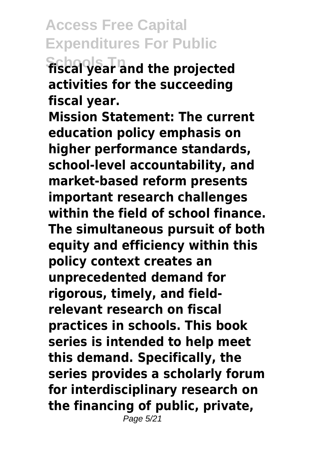**Schools Tn fiscal year and the projected activities for the succeeding fiscal year.**

**Mission Statement: The current education policy emphasis on higher performance standards, school-level accountability, and market-based reform presents important research challenges within the field of school finance. The simultaneous pursuit of both equity and efficiency within this policy context creates an unprecedented demand for rigorous, timely, and fieldrelevant research on fiscal practices in schools. This book series is intended to help meet this demand. Specifically, the series provides a scholarly forum for interdisciplinary research on the financing of public, private,** Page 5/21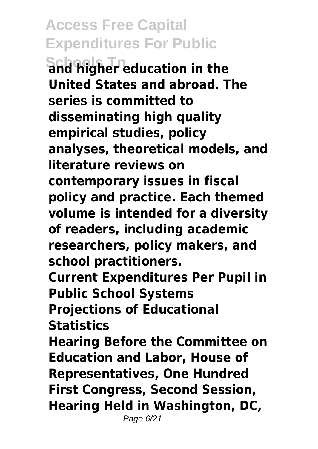**Schools Tn and higher education in the United States and abroad. The series is committed to disseminating high quality empirical studies, policy analyses, theoretical models, and literature reviews on contemporary issues in fiscal policy and practice. Each themed volume is intended for a diversity of readers, including academic researchers, policy makers, and school practitioners. Current Expenditures Per Pupil in Public School Systems Projections of Educational Statistics Hearing Before the Committee on Education and Labor, House of Representatives, One Hundred First Congress, Second Session, Hearing Held in Washington, DC,** Page 6/21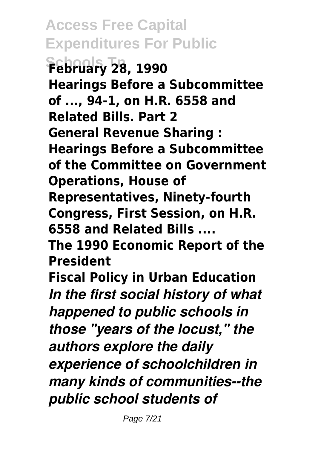**Access Free Capital Expenditures For Public Schools Tn February 28, 1990 Hearings Before a Subcommittee of ..., 94-1, on H.R. 6558 and Related Bills. Part 2 General Revenue Sharing : Hearings Before a Subcommittee of the Committee on Government Operations, House of Representatives, Ninety-fourth Congress, First Session, on H.R. 6558 and Related Bills .... The 1990 Economic Report of the President Fiscal Policy in Urban Education** *In the first social history of what happened to public schools in those "years of the locust," the authors explore the daily experience of schoolchildren in many kinds of communities--the public school students of*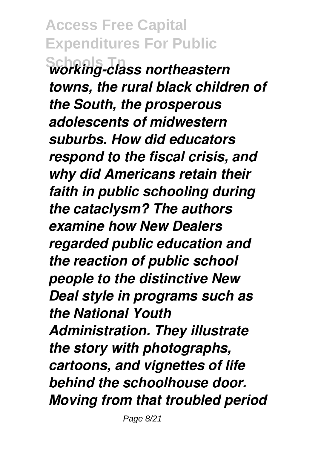**Schools Tn** *working-class northeastern towns, the rural black children of the South, the prosperous adolescents of midwestern suburbs. How did educators respond to the fiscal crisis, and why did Americans retain their faith in public schooling during the cataclysm? The authors examine how New Dealers regarded public education and the reaction of public school people to the distinctive New Deal style in programs such as the National Youth Administration. They illustrate the story with photographs, cartoons, and vignettes of life behind the schoolhouse door. Moving from that troubled period*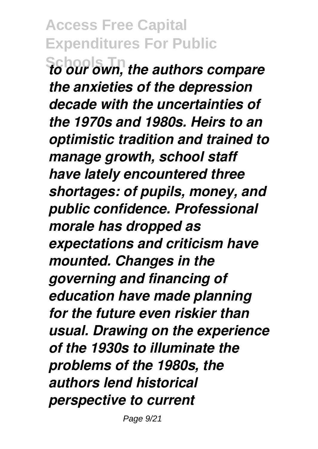**Schools Tn** *to our own, the authors compare the anxieties of the depression decade with the uncertainties of the 1970s and 1980s. Heirs to an optimistic tradition and trained to manage growth, school staff have lately encountered three shortages: of pupils, money, and public confidence. Professional morale has dropped as expectations and criticism have mounted. Changes in the governing and financing of education have made planning for the future even riskier than usual. Drawing on the experience of the 1930s to illuminate the problems of the 1980s, the authors lend historical perspective to current*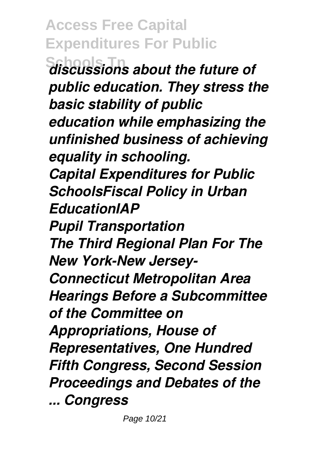**Access Free Capital Expenditures For Public Schools Tn** *discussions about the future of public education. They stress the basic stability of public education while emphasizing the unfinished business of achieving equality in schooling. Capital Expenditures for Public SchoolsFiscal Policy in Urban EducationIAP Pupil Transportation The Third Regional Plan For The New York-New Jersey-Connecticut Metropolitan Area Hearings Before a Subcommittee of the Committee on Appropriations, House of Representatives, One Hundred Fifth Congress, Second Session Proceedings and Debates of the ... Congress*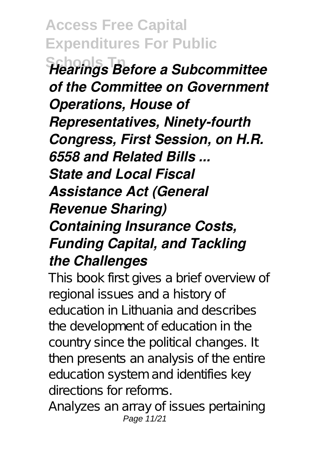**Schools Tn** *Hearings Before a Subcommittee of the Committee on Government Operations, House of Representatives, Ninety-fourth Congress, First Session, on H.R. 6558 and Related Bills ... State and Local Fiscal Assistance Act (General Revenue Sharing) Containing Insurance Costs, Funding Capital, and Tackling the Challenges*

This book first gives a brief overview of regional issues and a history of education in Lithuania and describes the development of education in the country since the political changes. It then presents an analysis of the entire education system and identifies key directions for reforms.

Analyzes an array of issues pertaining Page 11/21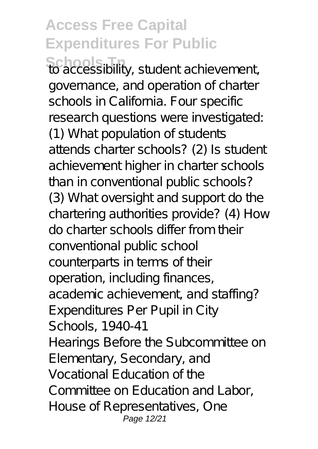**Schools Tn** to accessibility, student achievement, governance, and operation of charter schools in California. Four specific research questions were investigated: (1) What population of students attends charter schools? (2) Is student achievement higher in charter schools than in conventional public schools? (3) What oversight and support do the chartering authorities provide? (4) How do charter schools differ from their conventional public school counterparts in terms of their operation, including finances, academic achievement, and staffing? Expenditures Per Pupil in City Schools, 1940-41 Hearings Before the Subcommittee on Elementary, Secondary, and Vocational Education of the Committee on Education and Labor, House of Representatives, One Page 12/21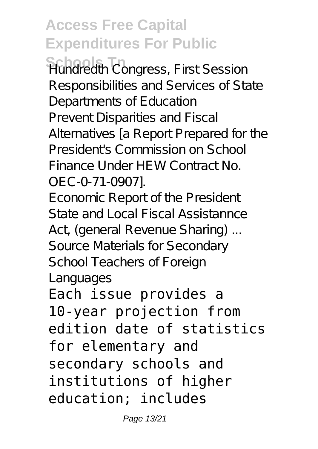**Schools Tn** Hundredth Congress, First Session Responsibilities and Services of State Departments of Education Prevent Disparities and Fiscal Alternatives [a Report Prepared for the President's Commission on School Finance Under HEW Contract No. OEC-0-71-0907].

Economic Report of the President State and Local Fiscal Assistannce Act, (general Revenue Sharing) ... Source Materials for Secondary School Teachers of Foreign Languages

Each issue provides a 10-year projection from edition date of statistics for elementary and secondary schools and institutions of higher education; includes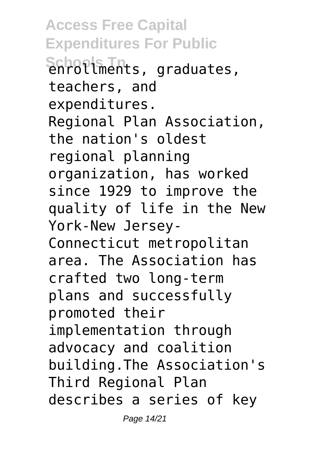**Access Free Capital Expenditures For Public** Schools Tn<br>enrollments, graduates, teachers, and expenditures. Regional Plan Association, the nation's oldest regional planning organization, has worked since 1929 to improve the quality of life in the New York-New Jersey-Connecticut metropolitan area. The Association has crafted two long-term plans and successfully promoted their implementation through advocacy and coalition building.The Association's Third Regional Plan describes a series of key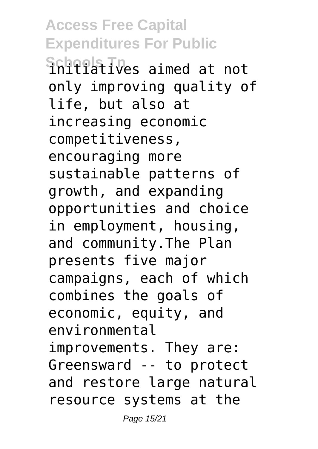**Access Free Capital Expenditures For Public** Schools Tn<sub>es</sub> aimed at not only improving quality of life, but also at increasing economic competitiveness, encouraging more sustainable patterns of growth, and expanding opportunities and choice in employment, housing, and community.The Plan presents five major campaigns, each of which combines the goals of economic, equity, and environmental improvements. They are: Greensward -- to protect and restore large natural resource systems at the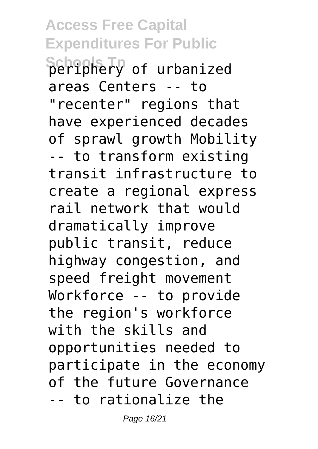**Schools Tn** periphery of urbanized areas Centers -- to "recenter" regions that have experienced decades of sprawl growth Mobility -- to transform existing transit infrastructure to create a regional express rail network that would dramatically improve public transit, reduce highway congestion, and speed freight movement Workforce -- to provide the region's workforce with the skills and opportunities needed to participate in the economy of the future Governance -- to rationalize the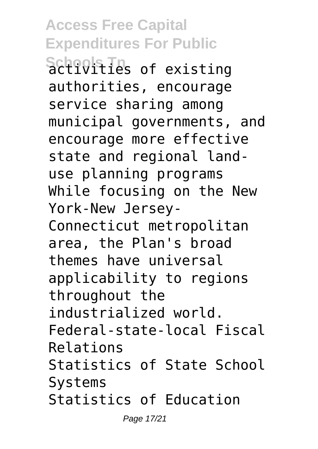Schools Th<sub>s</sub> of existing authorities, encourage service sharing among municipal governments, and encourage more effective state and regional landuse planning programs While focusing on the New York-New Jersey-Connecticut metropolitan area, the Plan's broad themes have universal applicability to regions throughout the industrialized world. Federal-state-local Fiscal Relations Statistics of State School Systems Statistics of Education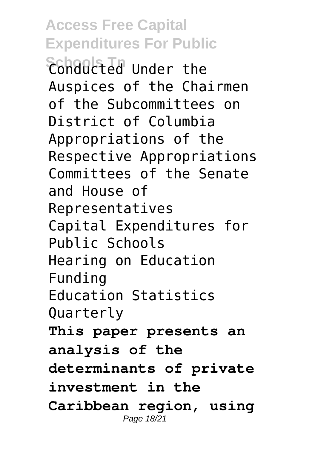**Schools Tn** Conducted Under the Auspices of the Chairmen of the Subcommittees on District of Columbia Appropriations of the Respective Appropriations Committees of the Senate and House of Representatives Capital Expenditures for Public Schools Hearing on Education Funding Education Statistics Quarterly **This paper presents an analysis of the determinants of private investment in the Caribbean region, using** Page 18/21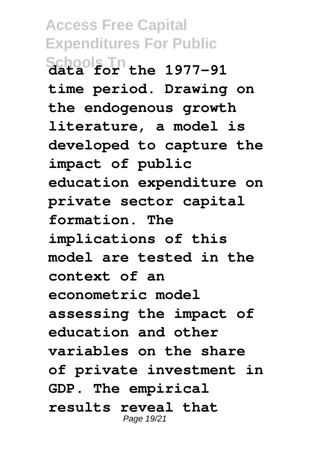**Access Free Capital Expenditures For Public Schools Tn data for the 1977-91 time period. Drawing on the endogenous growth literature, a model is developed to capture the impact of public education expenditure on private sector capital formation. The implications of this model are tested in the context of an econometric model assessing the impact of education and other variables on the share of private investment in GDP. The empirical results reveal that** Page 19/21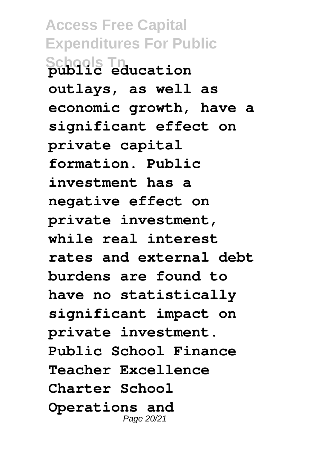**Access Free Capital Expenditures For Public Schools Tn public education outlays, as well as economic growth, have a significant effect on private capital formation. Public investment has a negative effect on private investment, while real interest rates and external debt burdens are found to have no statistically significant impact on private investment. Public School Finance Teacher Excellence Charter School Operations and** Page 20/21